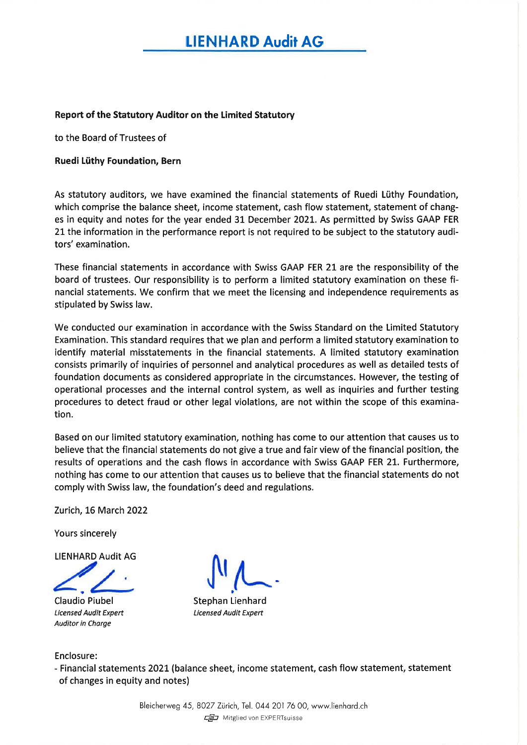# tIENHARD Audit AG

#### Report of the Statutory Auditor on the Limited Statutory

to the Board of Trustees of

#### Ruedi Lüthy Foundation, Bern

As statutory auditors, we have examined the financial statements of Ruedi Lüthy Foundation, which comprise the balance sheet, income statement, cash flow statement, statement of changes in equity and notes for the year ended 31 December 202L. As permitted by Swiss GAAP FER 21the information in the performance report is not required to be subject to the statutory auditors' examination.

These financial statements in accordance with Swiss GAAP FER 21 are the responsibility of the board of trustees. Our responsibility is to perform a limited statutory examination on these financial statements. We confirm that we meet the licensing and independence requirements as stipulated by Swiss law.

We conducted our examination in accordance with the Swiss Standard on the Limited Statutory Examination. This standard requires that we plan and perform a limited statutory examination to identify material misstatements in the financial statements. A limited statutory examination consists primarily of inquiries of personnel and analytical procedures as well as detailed tests of foundation documents as considered appropriate in the circumstances. However, the testing of operational processes and the internal control system, as well as inquiries and further testing procedures to detect fraud or other legal violations, are not within the scope of this examination.

Based on our limited statutory examination, nothing has come to our attention that causes us to believe that the financial statements do not give a true and fair view of the financial position, the results of operations and the cash flows in accordance with Swiss GAAP FER 21. Furthermore, nothing has come to our attention that causes us to believe that the financial statements do not comply with Swiss law, the foundation's deed and regulations.

Zurich, 16 March 2022

Yours sincerely

LIENHARD Audit AG

Claudio Piubel Licensed Audit Expert Auditor in Charge

ARD Audit AG VIN

Stephan Lienhard Licensed Audit Expert

Enclosure:

- Financial statements 2021 (balance sheet, income statement, cash flow statement, statement of changes in equity and notes)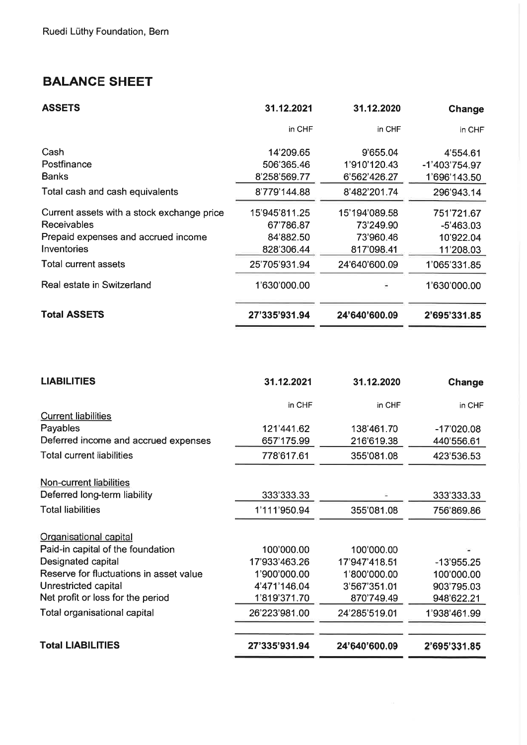# BALANCE SHEET

| <b>ASSETS</b>                              | 31.12.2021    | 31.12.2020    | Change        |
|--------------------------------------------|---------------|---------------|---------------|
|                                            | in CHF        | in CHF        | in CHF        |
| Cash                                       | 14'209.65     | 9'655.04      | 4'554.61      |
| Postfinance                                | 506'365.46    | 1'910'120.43  | -1'403'754.97 |
| <b>Banks</b>                               | 8'258'569.77  | 6'562'426.27  | 1'696'143.50  |
| Total cash and cash equivalents            | 8'779'144.88  | 8'482'201.74  | 296'943.14    |
| Current assets with a stock exchange price | 15'945'811.25 | 15'194'089.58 | 751'721.67    |
| <b>Receivables</b>                         | 67'786.87     | 73'249.90     | $-5'463.03$   |
| Prepaid expenses and accrued income        | 84'882.50     | 73'960.46     | 10'922.04     |
| Inventories                                | 828'306.44    | 817'098.41    | 11'208.03     |
| Total current assets                       | 25'705'931.94 | 24'640'600.09 | 1'065'331.85  |
| Real estate in Switzerland                 | 1'630'000.00  |               | 1'630'000.00  |
| <b>Total ASSETS</b>                        | 27'335'931.94 | 24'640'600.09 | 2'695'331.85  |

| <b>LIABILITIES</b>                      | 31.12.2021    | 31.12.2020    | Change       |
|-----------------------------------------|---------------|---------------|--------------|
|                                         | in CHF        | in CHF        | in CHF       |
| <b>Current liabilities</b>              |               |               |              |
| Payables                                | 121'441.62    | 138'461.70    | $-17'020.08$ |
| Deferred income and accrued expenses    | 657'175.99    | 216'619.38    | 440'556.61   |
| Total current liabilities               | 778'617.61    | 355'081.08    | 423'536.53   |
| Non-current liabilities                 |               |               |              |
| Deferred long-term liability            | 333'333.33    |               | 333'333.33   |
| <b>Total liabilities</b>                | 1'111'950.94  | 355'081.08    | 756'869.86   |
| Organisational capital                  |               |               |              |
| Paid-in capital of the foundation       | 100'000.00    | 100'000.00    |              |
| Designated capital                      | 17'933'463.26 | 17'947'418.51 | $-13'955.25$ |
| Reserve for fluctuations in asset value | 1'900'000.00  | 1'800'000.00  | 100'000.00   |
| Unrestricted capital                    | 4'471'146.04  | 3'567'351.01  | 903'795.03   |
| Net profit or loss for the period       | 1'819'371.70  | 870'749.49    | 948'622.21   |
| Total organisational capital            | 26'223'981.00 | 24'285'519.01 | 1'938'461.99 |
| <b>Total LIABILITIES</b>                | 27'335'931.94 | 24'640'600.09 | 2'695'331.85 |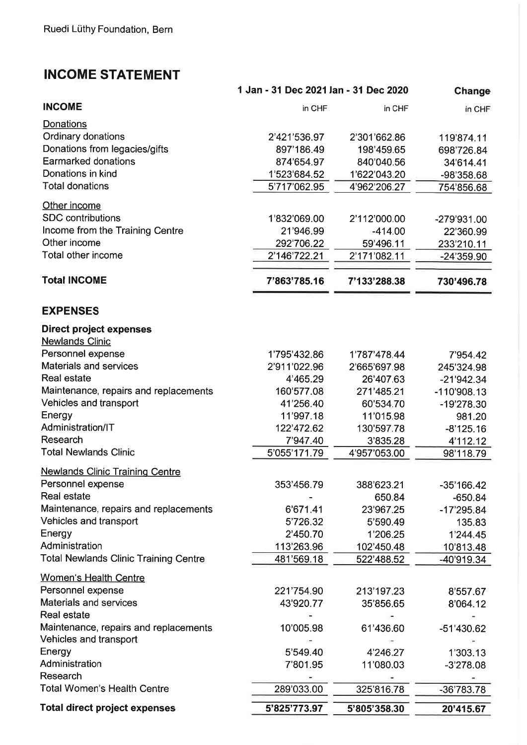# INCOME STATEMENT

|                                                          | 1 Jan - 31 Dec 2021 Jan - 31 Dec 2020 |              | Change       |
|----------------------------------------------------------|---------------------------------------|--------------|--------------|
| <b>INCOME</b>                                            | in CHF                                | in CHF       | in CHF       |
| Donations                                                |                                       |              |              |
| Ordinary donations                                       | 2'421'536.97                          | 2'301'662.86 | 119'874.11   |
| Donations from legacies/gifts                            | 897'186.49                            | 198'459.65   | 698'726.84   |
| <b>Earmarked donations</b>                               | 874'654.97                            | 840'040.56   | 34'614.41    |
| Donations in kind                                        | 1'523'684.52                          | 1'622'043.20 | -98'358.68   |
| <b>Total donations</b>                                   | 5'717'062.95                          | 4'962'206.27 | 754'856.68   |
| Other income                                             |                                       |              |              |
| <b>SDC</b> contributions                                 | 1'832'069.00                          | 2'112'000.00 | -279'931.00  |
| Income from the Training Centre                          | 21'946.99                             | $-414.00$    | 22'360.99    |
| Other income                                             | 292'706.22                            | 59'496.11    | 233'210.11   |
| Total other income                                       | 2'146'722.21                          | 2'171'082.11 | -24'359.90   |
| <b>Total INCOME</b>                                      | 7'863'785.16                          | 7'133'288.38 | 730'496.78   |
|                                                          |                                       |              |              |
| <b>EXPENSES</b>                                          |                                       |              |              |
| <b>Direct project expenses</b><br><b>Newlands Clinic</b> |                                       |              |              |
| Personnel expense                                        | 1'795'432.86                          | 1'787'478.44 | 7'954.42     |
| <b>Materials and services</b>                            | 2'911'022.96                          | 2'665'697.98 | 245'324.98   |
| Real estate                                              | 4'465.29                              | 26'407.63    | $-21'942.34$ |
| Maintenance, repairs and replacements                    | 160'577.08                            | 271'485.21   | -110'908.13  |
| Vehicles and transport                                   | 41'256.40                             | 60'534.70    | -19'278.30   |
| Energy                                                   | 11'997.18                             | 11'015.98    | 981.20       |
| Administration/IT                                        | 122'472.62                            | 130'597.78   | $-8'125.16$  |
| Research                                                 | 7'947.40                              | 3'835.28     | 4'112.12     |
| <b>Total Newlands Clinic</b>                             | 5'055'171.79                          | 4'957'053.00 | 98'118.79    |
| <b>Newlands Clinic Training Centre</b>                   |                                       |              |              |
| Personnel expense                                        | 353'456.79                            | 388'623.21   | $-35'166.42$ |
| <b>Real estate</b>                                       |                                       | 650.84       | $-650.84$    |
| Maintenance, repairs and replacements                    | 6'671.41                              | 23'967.25    | $-17'295.84$ |
| Vehicles and transport                                   | 5'726.32                              | 5'590.49     | 135.83       |
| Energy                                                   | 2'450.70                              | 1'206.25     | 1'244.45     |
| Administration                                           | 113'263.96                            | 102'450.48   | 10'813.48    |
| <b>Total Newlands Clinic Training Centre</b>             | 481'569.18                            | 522'488.52   | -40'919.34   |
| <b>Women's Health Centre</b>                             |                                       |              |              |
| Personnel expense                                        | 221'754.90                            | 213'197.23   | 8'557.67     |
| Materials and services                                   | 43'920.77                             | 35'856.65    | 8'064.12     |
| <b>Real estate</b>                                       |                                       |              |              |
| Maintenance, repairs and replacements                    | 10'005.98                             | 61'436.60    | -51'430.62   |
| Vehicles and transport                                   |                                       |              |              |
| Energy                                                   | 5'549.40                              | 4'246.27     | 1'303.13     |
| Administration                                           | 7'801.95                              | 11'080.03    | $-3'278.08$  |
| Research<br><b>Total Women's Health Centre</b>           | 289'033.00                            | 325'816.78   | $-36'783.78$ |
|                                                          |                                       |              |              |
| <b>Total direct project expenses</b>                     | 5'825'773.97                          | 5'805'358.30 | 20'415.67    |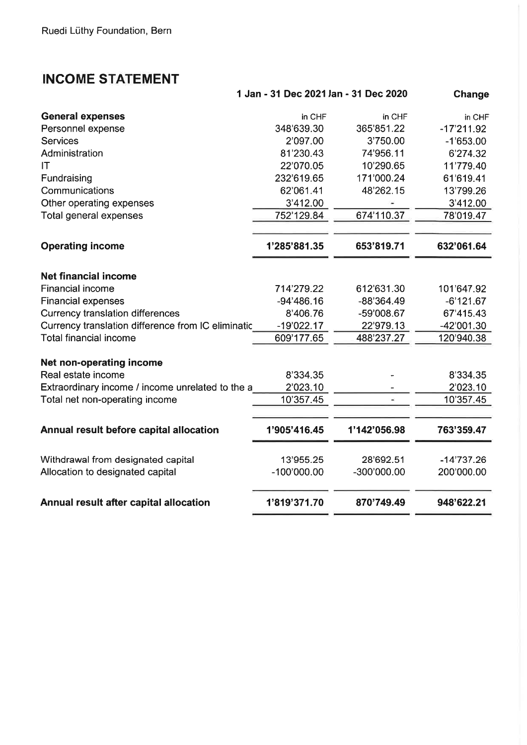# INCOME STATEMENT

|                                                    | 1 Jan - 31 Dec 2021 Jan - 31 Dec 2020 |              | Change       |
|----------------------------------------------------|---------------------------------------|--------------|--------------|
| <b>General expenses</b>                            | in CHF                                | in CHF       | in CHF       |
| Personnel expense                                  | 348'639.30                            | 365'851.22   | $-17'211.92$ |
| <b>Services</b>                                    | 2'097.00                              | 3'750.00     | $-1'653.00$  |
| Administration                                     | 81'230.43                             | 74'956.11    | 6'274.32     |
| ΙT                                                 | 22'070.05                             | 10'290.65    | 11'779.40    |
| Fundraising                                        | 232'619.65                            | 171'000.24   | 61'619.41    |
| Communications                                     | 62'061.41                             | 48'262.15    | 13'799.26    |
| Other operating expenses                           | 3'412.00                              |              | 3'412.00     |
| Total general expenses                             | 752'129.84                            | 674'110.37   | 78'019.47    |
| <b>Operating income</b>                            | 1'285'881.35                          | 653'819.71   | 632'061.64   |
|                                                    |                                       |              |              |
| <b>Net financial income</b>                        |                                       |              |              |
| <b>Financial income</b>                            | 714'279.22                            | 612'631.30   | 101'647.92   |
| <b>Financial expenses</b>                          | $-94'486.16$                          | $-88'364.49$ | $-6'121.67$  |
| <b>Currency translation differences</b>            | 8'406.76                              | -59'008.67   | 67'415.43    |
| Currency translation difference from IC eliminatic | $-19'022.17$                          | 22'979.13    | -42'001.30   |
| <b>Total financial income</b>                      | 609'177.65                            | 488'237.27   | 120'940.38   |
| Net non-operating income                           |                                       |              |              |
| Real estate income                                 | 8'334.35                              |              | 8'334.35     |
| Extraordinary income / income unrelated to the a   | 2'023.10                              |              | 2'023.10     |
| Total net non-operating income                     | 10'357.45                             |              | 10'357.45    |
| Annual result before capital allocation            | 1'905'416.45                          | 1'142'056.98 | 763'359.47   |
| Withdrawal from designated capital                 | 13'955.25                             | 28'692.51    | $-14'737.26$ |
| Allocation to designated capital                   | $-100'000.00$                         | -300'000.00  | 200'000.00   |
| Annual result after capital allocation             | 1'819'371.70                          | 870'749.49   | 948'622.21   |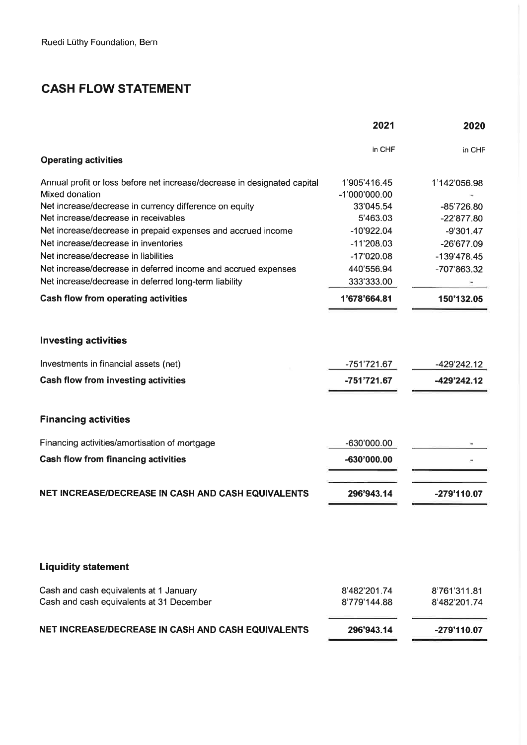# CASH FLOW STATEMENT

|                                                                          | 2021          | 2020          |
|--------------------------------------------------------------------------|---------------|---------------|
|                                                                          | in CHF        | in CHF        |
| <b>Operating activities</b>                                              |               |               |
| Annual profit or loss before net increase/decrease in designated capital | 1'905'416.45  | 1'142'056.98  |
| Mixed donation                                                           | -1'000'000.00 |               |
| Net increase/decrease in currency difference on equity                   | 33'045.54     | $-85'726.80$  |
| Net increase/decrease in receivables                                     | 5'463.03      | $-22'877.80$  |
| Net increase/decrease in prepaid expenses and accrued income             | $-10'922.04$  | $-9'301.47$   |
| Net increase/decrease in inventories                                     | $-11'208.03$  | -26'677.09    |
| Net increase/decrease in liabilities                                     | $-17'020.08$  | $-139'478.45$ |
| Net increase/decrease in deferred income and accrued expenses            | 440'556.94    | -707'863.32   |
| Net increase/decrease in deferred long-term liability                    | 333'333.00    |               |
| <b>Cash flow from operating activities</b>                               | 1'678'664.81  | 150'132.05    |
| <b>Investing activities</b>                                              |               |               |
| Investments in financial assets (net)                                    | -751'721.67   | -429'242.12   |
|                                                                          |               |               |
| <b>Cash flow from investing activities</b>                               | -751'721.67   | -429'242.12   |
| <b>Financing activities</b>                                              |               |               |
| Financing activities/amortisation of mortgage                            | -630'000.00   |               |
| <b>Cash flow from financing activities</b>                               | -630'000.00   |               |
| NET INCREASE/DECREASE IN CASH AND CASH EQUIVALENTS                       | 296'943.14    | -279'110.07   |
|                                                                          |               |               |
| <b>Liquidity statement</b>                                               |               |               |
| Cash and cash equivalents at 1 January                                   | 8'482'201.74  | 8'761'311.81  |
| Cash and cash equivalents at 31 December                                 | 8'779'144.88  | 8'482'201.74  |
| NET INCREASE/DECREASE IN CASH AND CASH EQUIVALENTS                       | 296'943.14    | -279'110.07   |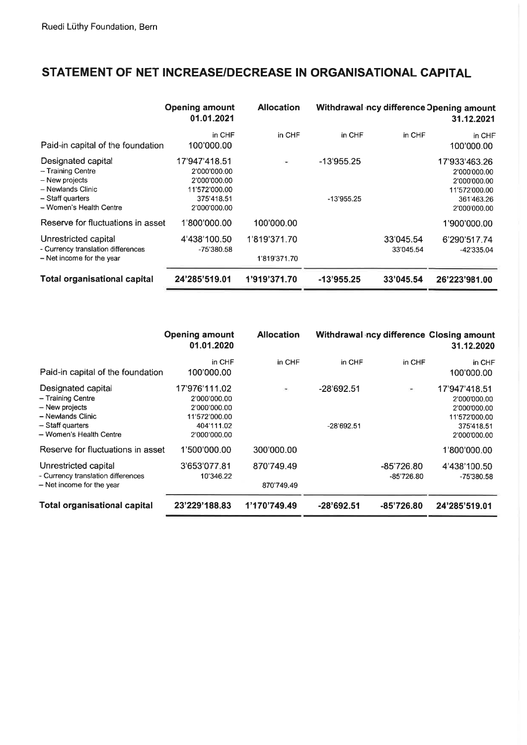# STATEMENT OF NET INCREASE/DECREASE IN ORGANISATIONAL CAPITAL

|                                                                                                                               | <b>Opening amount</b><br>01.01.2021                                                          | <b>Allocation</b>            |                              |                        | Withdrawal ncy difference Opening amount<br>31.12.2021                                       |
|-------------------------------------------------------------------------------------------------------------------------------|----------------------------------------------------------------------------------------------|------------------------------|------------------------------|------------------------|----------------------------------------------------------------------------------------------|
| Paid-in capital of the foundation                                                                                             | in CHF<br>100'000.00                                                                         | in CHF                       | in CHF                       | in CHF                 | in CHF<br>100'000.00                                                                         |
| Designated capital<br>- Training Centre<br>- New projects<br>- Newlands Clinic<br>- Staff quarters<br>- Women's Health Centre | 17'947'418.51<br>2'000'000.00<br>2'000'000.00<br>11'572'000.00<br>375'418.51<br>2'000'000.00 | $\sim$                       | $-13'955.25$<br>$-13'955.25$ |                        | 17'933'463.26<br>2'000'000.00<br>2'000'000.00<br>11'572'000.00<br>361'463.26<br>2'000'000.00 |
| Reserve for fluctuations in asset                                                                                             | 1'800'000.00                                                                                 | 100'000.00                   |                              |                        | 1'900'000.00                                                                                 |
| Unrestricted capital<br>- Currency translation differences<br>- Net income for the year                                       | 4'438'100.50<br>-75'380.58                                                                   | 1'819'371.70<br>1'819'371.70 |                              | 33'045.54<br>33'045.54 | 6'290'517.74<br>-42 335.04                                                                   |
| Total organisational capital                                                                                                  | 24'285'519.01                                                                                | 1'919'371.70                 | $-13'955.25$                 | 33'045.54              | 26'223'981.00                                                                                |

|                                                                                                                               | <b>Opening amount</b><br>01.01.2020                                                          | <b>Allocation</b>        |                              |                            | Withdrawal ncy difference Closing amount<br>31.12.2020                                       |
|-------------------------------------------------------------------------------------------------------------------------------|----------------------------------------------------------------------------------------------|--------------------------|------------------------------|----------------------------|----------------------------------------------------------------------------------------------|
| Paid-in capital of the foundation                                                                                             | in CHF<br>100'000.00                                                                         | in CHF                   | in CHF                       | in CHF                     | in CHF<br>100'000.00                                                                         |
| Designated capital<br>- Training Centre<br>- New projects<br>- Newlands Clinic<br>- Staff quarters<br>- Women's Health Centre | 17'976'111.02<br>2'000'000.00<br>2'000'000.00<br>11'572'000.00<br>404'111.02<br>2'000'000.00 | $\overline{\phantom{a}}$ | $-28'692.51$<br>$-28'692.51$ | $\sim$                     | 17'947'418.51<br>2'000'000.00<br>2'000'000.00<br>11'572'000.00<br>375'418.51<br>2'000'000.00 |
| Reserve for fluctuations in asset                                                                                             | 1'500'000.00                                                                                 | 300'000.00               |                              |                            | 1'800'000.00                                                                                 |
| Unrestricted capital<br>- Currency translation differences<br>- Net income for the year                                       | 3'653'077.81<br>10'346.22                                                                    | 870'749.49<br>870'749.49 |                              | $-85'726.80$<br>-85'726.80 | 4'438'100.50<br>$-75'380.58$                                                                 |
| <b>Total organisational capital</b>                                                                                           | 23'229'188.83                                                                                | 1'170'749.49             | $-28'692.51$                 | $-85'726.80$               | 24'285'519.01                                                                                |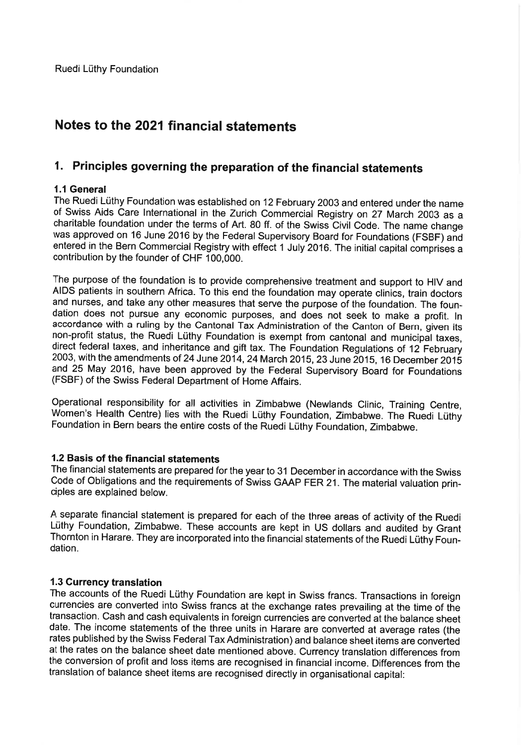# Notes to the 2021 financial statements

# 1. Principles governing the preparation of the financial statements

# 1.1 General

The Ruedi Lüthy Foundation was established on 12 February 2003 and entered under the name<br>of Swiss Aids Care International in the Zurich Commercial Registry on 27 March 2003 as a<br>charitable foundation under the terms of Ar entered in the Bern Commercial Registry with effect 1 July 2016. The initial capital comprises a contribution by the founder of CHF 100.000.

The purpose of the foundation is to provide comprehensive treatment and support to HIV and AIDS patients in southern Africa. To this end the foundation may operate clinics, train doctors and nurses, and take any other meas accordance with a ruling by the Cantonal Tax Administration of the Canton of Bern, given its<br>non-profit status, the Ruedi Lüthy Foundation is exempt from cantonal and municipal taxes,<br>direct federal taxes, and inheritance

Operational responsibility for all activities in Zimbabwe (Newlands Clinic, Training Centre, Women's Health Centre) lies with the Ruedi Lüthy Foundation, Zimbabwe. The Ruedi Lüthy Foundation in Bern bears the entire costs

## 1.2 Basis of the financial statements

The financial statements are prepared for the year to 31 December in accordance with the Swiss Code of Obligations and the requirements of Swiss GAAP FER 21. The material valuation principles are explained below.

A separate financial statement is prepared for each of the three areas of activity of the Ruedi<br>Lüthy Foundation, Zimbabwe. These accounts are kept in US dollars and audited by Grant<br>Thornton in Harare. They are incorporat dation.

# 1.3 Currency translation

The accounts of the Ruedi Lüthy Foundation are kept in Swiss francs. Transactions in foreign currencies are converted into Swiss francs at the exchange rates prevailing at the time of the transaction. Cash and cash equivalents in foreign currencies are converted at the balance sheet rates published by the Swiss Federal Tax Administration) and balance sheet items are converted at the rates on the balance sheet date mentioned above. Currency translation differences from the conversion of profit and loss items are recognised in financial income. Differences from the translation of balance sheet items are recognised directly in organisational capital: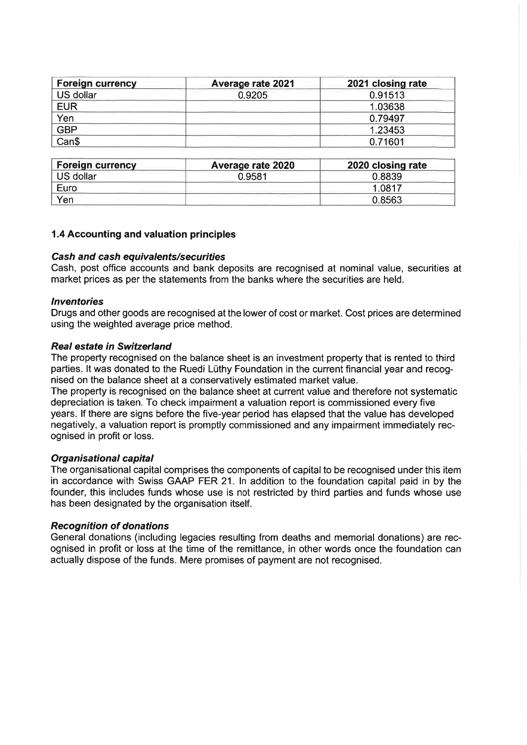| Foreign currency | <b>Average rate 2021</b> | 2021 closing rate |
|------------------|--------------------------|-------------------|
| US dollar        | 0.9205                   | 0.91513           |
| <b>EUR</b>       |                          | 1.03638           |
| Yen              |                          | 0.79497           |
| <b>GBP</b>       |                          | 1.23453           |
| Can\$            |                          | 0.71601           |

| Foreign currency | Average rate 2020 | 2020 closing rate |
|------------------|-------------------|-------------------|
| US dollar        | 0.9581            | 0.8839            |
| Euro             |                   | 1.0817            |
| Yen              |                   | 0.8563            |

#### 1.4 Accounting and valuation principles

#### Cash and cash equivalents/securities

Cash, post office accounts and bank deposits are recognised at nominal value, securities at market prices as per the statements from the banks where the securities are held.

#### lnventories

Drugs and other goods are recognised at the lower of cost or market. Cost prices are determined using the weighted average price method.

#### Real esfafe in Switzerland

The property recognised on the balance sheet is an investment property that is rented to third parties. lt was donated to the Ruedi Lüthy Foundation in the current financial year and recognised on the balance sheet at a conservatively estimated market value.

The property is recognised on the balance sheet at current value and therefore not systematic depreciation is taken. To check impairment a valuation report is commissioned every five years. lf there are signs before the five-year period has elapsed that the value has developed negatively, a valuation report is promptly commissioned and any impairment immediately recognised in profit or loss.

#### Organisational capital

The organisational capital comprises the components of capital to be recognised under this item in accordance with Swiss GAAP FER 21. ln addition to the foundation capital paid in by the founder, this includes funds whose use is not restricted by third parties and funds whose use has been designated by the organisation itself.

#### **Recognition of donations**

General donations (including legacies resulting from deaths and memorial donations) are recognised in profit or loss at the time of the remittance, in other words once the foundation can actually dispose of the funds. Mere promises of payment are not recognised.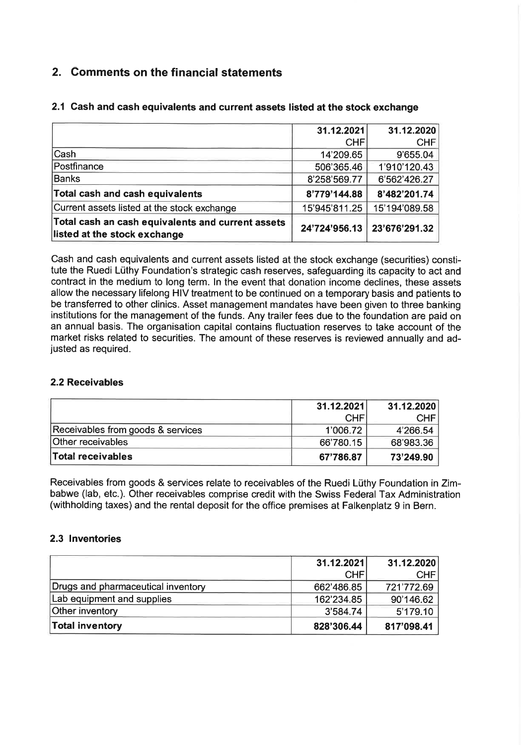# 2. Comments on the financial statements

|                                                                                   | 31.12.2021    | 31.12.2020    |
|-----------------------------------------------------------------------------------|---------------|---------------|
|                                                                                   | <b>CHF</b>    | <b>CHF</b>    |
| Cash                                                                              | 14'209.65     | 9'655.04      |
| Postfinance                                                                       | 506'365.46    | 1'910'120.43  |
| <b>Banks</b>                                                                      | 8'258'569.77  | 6'562'426.27  |
| Total cash and cash equivalents                                                   | 8'779'144.88  | 8'482'201.74  |
| Current assets listed at the stock exchange                                       | 15'945'811.25 | 15'194'089.58 |
| Total cash an cash equivalents and current assets<br>listed at the stock exchange | 24'724'956.13 | 23'676'291.32 |

# 2.1 Cash and cash equivalents and current assets listed at the stock exchange

Cash and cash equivalents and current assets listed at the stock exchange (securities) constitute the Ruedi Lüthy Foundation's strategic cash reserves, safeguarding its capacity to act and contract in the medium to long term. ln the event that donation income declines, these assets allow the necessary lifelong HIV treatment to be continued on a temporary basis and patients to be transferred to other clinics. Asset management mandates have been given to three banking institutions for the management of the funds. Any trailer fees due to the foundation are paid on an annual basis. The organisation capital contains fluctuation reserves to take account of the market risks related to securities. The amount of these reserves is reviewed annually and ad- justed as required.

# 2.2 Receivables

|                                   | 31.12.2021 | 31.12.2020 |
|-----------------------------------|------------|------------|
|                                   | <b>CHF</b> | CHF        |
| Receivables from goods & services | 1'006.72   | 4'266.54   |
| Other receivables                 | 66'780.15  | 68'983.36  |
| Total receivables                 | 67'786.87  | 73'249.90  |

Receivables from goods & services relate to receivables of the Ruedi Lüthy Foundation in Zimbabwe (lab, etc.). Other receivables comprise credit with the Swiss Federal Tax Administration (withholding taxes) and the rental deposit for the office premises at Falkenplatz g in Bern.

## 2.3 lnventories

|                                    | 31.12.2021 | 31.12.2020 |
|------------------------------------|------------|------------|
|                                    | <b>CHF</b> | <b>CHF</b> |
| Drugs and pharmaceutical inventory | 662'486.85 | 721'772.69 |
| Lab equipment and supplies         | 162'234.85 | 90'146.62  |
| Other inventory                    | 3'584.74   | 5'179.10   |
| Total inventory                    | 828'306.44 | 817'098.41 |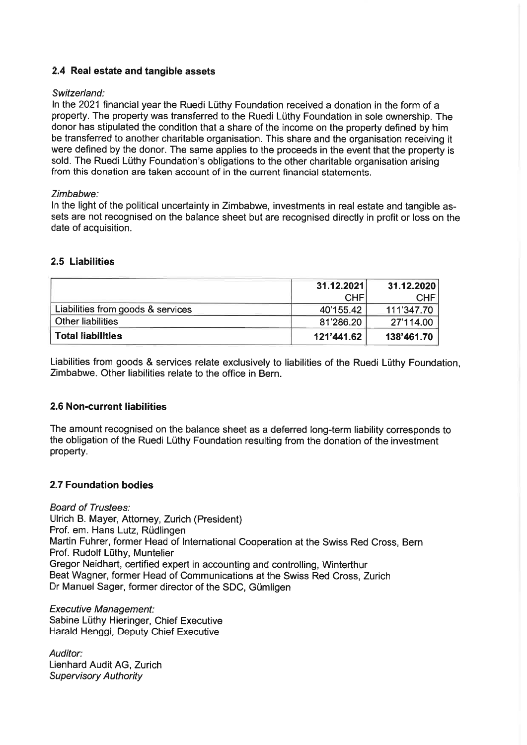# 2.4 Real estate and tangible assets

### Switzerland:

ln the 2021 financial year the Ruedi Lüthy Foundation received a donation in the form of a property. The property was transferred to the Ruedi Lüthy Foundation in sole ownership. The donor has stipulated the condition that a share of the income on the property defined by him be transferred to another charitable organisation. This share and the organisation receiving it were defined by the donor. The same applies to the proceeds in the event that the property is sold. The Ruedi Lüthy Foundation's obligations to the other charitable organisation arising from this donation are taken account of in the current financial statements.

#### Zimbabwe:

ln the light of the political uncertainty in Zimbabwe, investments in real estate and tangible assets are not recognised on the balance sheet but are recognised directly in profit or loss on the date of acquisition.

## 2.5 Liabilities

|                                   | 31.12.2021 | 31.12.2020 |
|-----------------------------------|------------|------------|
|                                   | <b>CHF</b> | CHF.       |
| Liabilities from goods & services | 40'155.42  | 111'347.70 |
| <b>Other liabilities</b>          | 81'286.20  | 27'114.00  |
| <b>Total liabilities</b>          | 121'441.62 | 138'461.70 |

Liabilities from goods & services relate exclusively to liabilities of the Ruedi Lüthy Foundation, Zimbabwe. Other liabilities relate to the office in Bern.

## 2.6 Non-current liabilities

The amount recognised on the balance sheet as a deferred long-term liability corresponds to the obligation of the Ruedi Lüthy Foundation resulting from the donation of the investment property.

## 2.7 Foundation bodies

**Board of Trustees:** Ulrich B. Mayer, Attorney, Zurich (President) Prof. em. Hans Lutz, Rüdlingen Martin Fuhrer, former Head of lnternational Cooperation at the Swiss Red Cross, Bern Prof. Rudolf Lüthy, Muntelier Gregor Neidhart, certified expert in accounting and controlling, Winterthur Beat Wagner, former Head of Communications at the Swiss Red Cross, Zurich Dr Manuel Sager, former director of the SDC, Gümligen

Executive Management: Sabine Lüthy Hieringer, Chief Executive Harald Henggi, Deputy Chief Executive

Auditor: Lienhard Audit AG, Zurich **Supervisory Authority**